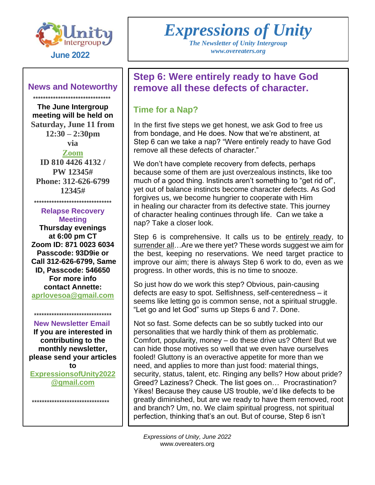

#### **News and Noteworthy**

 \*\*\*\*\*\*\*\*\*\*\*\*\*\*\*\*\*\*\*\*\*\*\*\*\*\*\*\*\*\*\* **The June Intergroup meeting will be held on Saturday, June 11 from 12:30 – 2:30pm via**

**[Zoom](https://us02web.zoom.us/j/81044264132?pwd=ZXIzZ1lsQ0xDb0c0QVhSak1MaFhWZz09) ID 810 4426 4132 / PW 12345# Phone: 312-626-6799 12345#**

\*\*\*\*\*\*\*\*\*\*\*\*\*\*\*\*\*\*\*\*\*\*\*\*\*\*\*\*\*\*\*

**Relapse Recovery Meeting Thursday evenings at 6:00 pm CT Zoom ID: 871 0023 6034 Passcode: 93D9ie or Call 312-626-6799, Same ID, Passcode: 546650 For more info contact Annette: [aprlovesoa@gmail.com](mailto:aprlovesoa@gmail.com)**

#### \*\*\*\*\*\*\*\*\*\*\*\*\*\*\*\*\*\*\*\*\*\*\*\*\*\*\*\*\*\*\*  **New Newsletter Email**

**If you are interested in contributing to the monthly newsletter, please send your articles to [ExpressionsofUnity2022](mailto:ExpressionsofUnity2022@gmail.com) [@gmail.com](mailto:ExpressionsofUnity2022@gmail.com)**

\*\*\*\*\*\*\*\*\*\*\*\*\*\*\*\*\*\*\*\*\*\*\*\*\*\*\*\*\*\*\*

# *Expressions of Unity*

*The Newsletter of Unity Intergroup*

## **Step 6: Were entirely ready to have God remove all these defects of character.**

#### **Time for a Nap?**

In the first five steps we get honest, we ask God to free us from bondage, and He does. Now that we're abstinent, at Step 6 can we take a nap? "Were entirely ready to have God remove all these defects of character."

We don't have complete recovery from defects, perhaps because some of them are just overzealous instincts, like too much of a good thing. Instincts aren't something to "get rid of", yet out of balance instincts become character defects. As God forgives us, we become hungrier to cooperate with Him in healing our character from its defective state. This journey of character healing continues through life. Can we take a nap? Take a closer look.

Step 6 is comprehensive. It calls us to be entirely ready, to surrender all…Are we there yet? These words suggest we aim for the best, keeping no reservations. We need target practice to improve our aim; there is always Step 6 work to do, even as we progress. In other words, this is no time to snooze.

So just how do we work this step? Obvious, pain-causing defects are easy to spot. Selfishness, self-centeredness – it seems like letting go is common sense, not a spiritual struggle. "Let go and let God" sums up Steps 6 and 7. Done.

Not so fast. Some defects can be so subtly tucked into our personalities that we hardly think of them as problematic. Comfort, popularity, money – do these drive us? Often! But we can hide those motives so well that we even have ourselves fooled! Gluttony is an overactive appetite for more than we need, and applies to more than just food: material things, security, status, talent, etc. Ringing any bells? How about pride? Greed? Laziness? Check. The list goes on… Procrastination? Yikes! Because they cause US trouble, we'd like defects to be greatly diminished, but are we ready to have them removed, root and branch? Um, no. We claim spiritual progress, not spiritual perfection, thinking that's an out. But of course, Step 6 isn't

*Expressions of Unity, June 2022* www.overeaters.org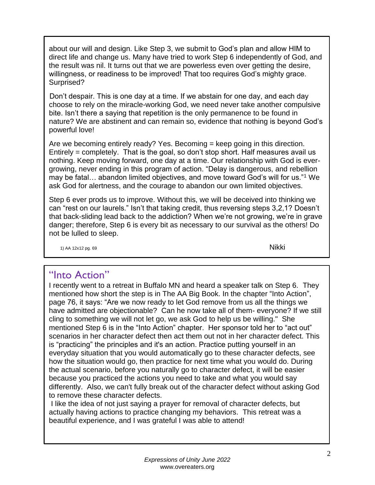about our will and design. Like Step 3, we submit to God's plan and allow HIM to direct life and change us. Many have tried to work Step 6 independently of God, and the result was nil. It turns out that we are powerless even over getting the desire, willingness, or readiness to be improved! That too requires God's mighty grace. Surprised?

Don't despair. This is one day at a time. If we abstain for one day, and each day choose to rely on the miracle-working God, we need never take another compulsive bite. Isn't there a saying that repetition is the only permanence to be found in nature? We are abstinent and can remain so, evidence that nothing is beyond God's powerful love!

Are we becoming entirely ready? Yes. Becoming = keep going in this direction. Entirely = completely. That is the goal, so don't stop short. Half measures avail us nothing. Keep moving forward, one day at a time. Our relationship with God is evergrowing, never ending in this program of action. "Delay is dangerous, and rebellion may be fatal… abandon limited objectives, and move toward God's will for us."<sup>1</sup> We ask God for alertness, and the courage to abandon our own limited objectives.

Step 6 ever prods us to improve. Without this, we will be deceived into thinking we can "rest on our laurels." Isn't that taking credit, thus reversing steps 3,2,1? Doesn't that back-sliding lead back to the addiction? When we're not growing, we're in grave danger; therefore, Step 6 is every bit as necessary to our survival as the others! Do not be lulled to sleep.

1) AA 12x12 pg. 69 **Nikki** 

## "Into Action"

I recently went to a retreat in Buffalo MN and heard a speaker talk on Step 6. They mentioned how short the step is in The AA Big Book. In the chapter "Into Action", page 76, it says: "Are we now ready to let God remove from us all the things we have admitted are objectionable? Can he now take all of them- everyone? If we still cling to something we will not let go, we ask God to help us be willing." She mentioned Step 6 is in the "Into Action" chapter. Her sponsor told her to "act out" scenarios in her character defect then act them out not in her character defect. This is "practicing" the principles and it's an action. Practice putting yourself in an everyday situation that you would automatically go to these character defects, see how the situation would go, then practice for next time what you would do. During the actual scenario, before you naturally go to character defect, it will be easier because you practiced the actions you need to take and what you would say differently. Also, we can't fully break out of the character defect without asking God to remove these character defects.

I like the idea of not just saying a prayer for removal of character defects, but actually having actions to practice changing my behaviors. This retreat was a beautiful experience, and I was grateful I was able to attend!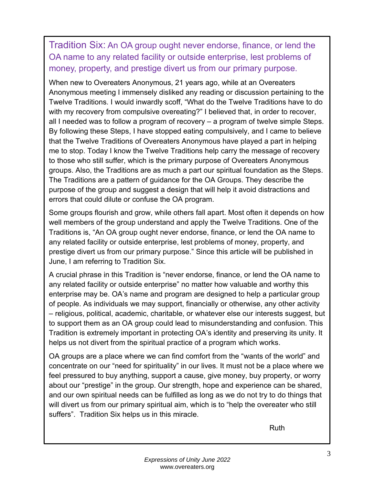Tradition Six: An OA group ought never endorse, finance, or lend the OA name to any related facility or outside enterprise, lest problems of money, property, and prestige divert us from our primary purpose.

When new to Overeaters Anonymous, 21 years ago, while at an Overeaters Anonymous meeting I immensely disliked any reading or discussion pertaining to the Twelve Traditions. I would inwardly scoff, "What do the Twelve Traditions have to do with my recovery from compulsive overeating?" I believed that, in order to recover, all I needed was to follow a program of recovery – a program of twelve simple Steps. By following these Steps, I have stopped eating compulsively, and I came to believe that the Twelve Traditions of Overeaters Anonymous have played a part in helping me to stop. Today I know the Twelve Traditions help carry the message of recovery to those who still suffer, which is the primary purpose of Overeaters Anonymous groups. Also, the Traditions are as much a part our spiritual foundation as the Steps. The Traditions are a pattern of guidance for the OA Groups. They describe the purpose of the group and suggest a design that will help it avoid distractions and errors that could dilute or confuse the OA program.

Some groups flourish and grow, while others fall apart. Most often it depends on how well members of the group understand and apply the Twelve Traditions. One of the Traditions is, "An OA group ought never endorse, finance, or lend the OA name to any related facility or outside enterprise, lest problems of money, property, and prestige divert us from our primary purpose." Since this article will be published in June, I am referring to Tradition Six.

A crucial phrase in this Tradition is "never endorse, finance, or lend the OA name to any related facility or outside enterprise" no matter how valuable and worthy this enterprise may be. OA's name and program are designed to help a particular group of people. As individuals we may support, financially or otherwise, any other activity – religious, political, academic, charitable, or whatever else our interests suggest, but to support them as an OA group could lead to misunderstanding and confusion. This Tradition is extremely important in protecting OA's identity and preserving its unity. It helps us not divert from the spiritual practice of a program which works.

OA groups are a place where we can find comfort from the "wants of the world" and concentrate on our "need for spirituality" in our lives. It must not be a place where we feel pressured to buy anything, support a cause, give money, buy property, or worry about our "prestige" in the group. Our strength, hope and experience can be shared, and our own spiritual needs can be fulfilled as long as we do not try to do things that will divert us from our primary spiritual aim, which is to "help the overeater who still suffers". Tradition Six helps us in this miracle.

Ruth